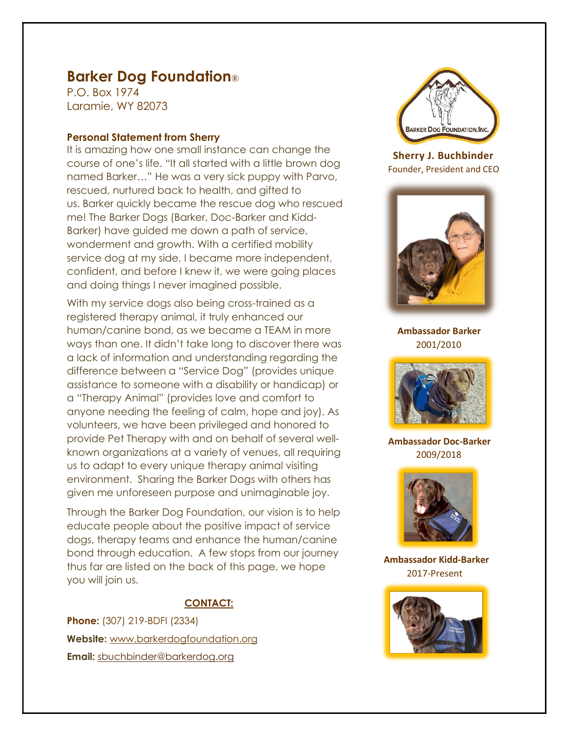# Barker Dog Foundation®

P.O. Box 1974 Laramie, WY 82073

## Personal Statement from Sherry

It is amazing how one small instance can change the course of one's life. "It all started with a little brown dog named Barker…" He was a very sick puppy with Parvo, rescued, nurtured back to health, and gifted to us. Barker quickly became the rescue dog who rescued me! The Barker Dogs (Barker, Doc-Barker and Kidd-Barker) have guided me down a path of service, wonderment and growth. With a certified mobility service dog at my side, I became more independent, confident, and before I knew it, we were going places and doing things I never imagined possible.

With my service dogs also being cross-trained as a registered therapy animal, it truly enhanced our human/canine bond, as we became a TEAM in more ways than one. It didn't take long to discover there was a lack of information and understanding regarding the difference between a "Service Dog" (provides unique assistance to someone with a disability or handicap) or a "Therapy Animal" (provides love and comfort to anyone needing the feeling of calm, hope and joy). As volunteers, we have been privileged and honored to provide Pet Therapy with and on behalf of several wellknown organizations at a variety of venues, all requiring us to adapt to every unique therapy animal visiting environment. Sharing the Barker Dogs with others has given me unforeseen purpose and unimaginable joy.

Through the Barker Dog Foundation, our vision is to help educate people about the positive impact of service dogs, therapy teams and enhance the human/canine bond through education. A few stops from our journey thus far are listed on the back of this page, we hope you will join us.

# CONTACT:

Phone: (307) 219-BDFI (2334) Website: www.barkerdogfoundation.org Email: sbuchbinder@barkerdog.org



 Sherry J. Buchbinder Founder, President and CEO



 Ambassador Barker 2001/2010



 Ambassador Doc-Barker 2009/2018



 Ambassador Kidd-Barker 2017-Present